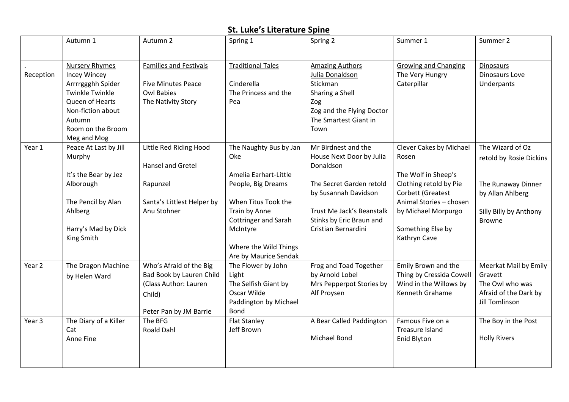## **St. Luke's Literature Spine**

|           | Autumn 1                                                                                                                                                           | Autumn 2                                                                                                         | Spring 1                                                                                                   | Spring 2                                                                                                                                      | Summer 1                                                                                     | Summer 2                                                                                              |
|-----------|--------------------------------------------------------------------------------------------------------------------------------------------------------------------|------------------------------------------------------------------------------------------------------------------|------------------------------------------------------------------------------------------------------------|-----------------------------------------------------------------------------------------------------------------------------------------------|----------------------------------------------------------------------------------------------|-------------------------------------------------------------------------------------------------------|
|           |                                                                                                                                                                    |                                                                                                                  |                                                                                                            |                                                                                                                                               |                                                                                              |                                                                                                       |
| Reception | <b>Nursery Rhymes</b><br><b>Incey Wincey</b><br>Arrrrggghh Spider<br><b>Twinkle Twinkle</b><br>Queen of Hearts<br>Non-fiction about<br>Autumn<br>Room on the Broom | <b>Families and Festivals</b><br><b>Five Minutes Peace</b><br><b>Owl Babies</b><br>The Nativity Story            | <b>Traditional Tales</b><br>Cinderella<br>The Princess and the<br>Pea                                      | <b>Amazing Authors</b><br>Julia Donaldson<br>Stickman<br>Sharing a Shell<br>Zog<br>Zog and the Flying Doctor<br>The Smartest Giant in<br>Town | <b>Growing and Changing</b><br>The Very Hungry<br>Caterpillar                                | Dinosaurs<br>Dinosaurs Love<br>Underpants                                                             |
|           | Meg and Mog                                                                                                                                                        |                                                                                                                  |                                                                                                            |                                                                                                                                               |                                                                                              |                                                                                                       |
| Year 1    | Peace At Last by Jill<br>Murphy                                                                                                                                    | Little Red Riding Hood<br>Hansel and Gretel                                                                      | The Naughty Bus by Jan<br>Oke                                                                              | Mr Birdnest and the<br>House Next Door by Julia<br>Donaldson                                                                                  | <b>Clever Cakes by Michael</b><br>Rosen                                                      | The Wizard of Oz<br>retold by Rosie Dickins                                                           |
|           | It's the Bear by Jez                                                                                                                                               |                                                                                                                  | Amelia Earhart-Little                                                                                      |                                                                                                                                               | The Wolf in Sheep's                                                                          |                                                                                                       |
|           | Alborough                                                                                                                                                          | Rapunzel                                                                                                         | People, Big Dreams                                                                                         | The Secret Garden retold<br>by Susannah Davidson                                                                                              | Clothing retold by Pie<br>Corbett (Greatest                                                  | The Runaway Dinner<br>by Allan Ahlberg                                                                |
|           | The Pencil by Alan                                                                                                                                                 | Santa's Littlest Helper by                                                                                       | When Titus Took the                                                                                        |                                                                                                                                               | Animal Stories - chosen                                                                      |                                                                                                       |
|           | Ahlberg                                                                                                                                                            | Anu Stohner                                                                                                      | Train by Anne                                                                                              | Trust Me Jack's Beanstalk                                                                                                                     | by Michael Morpurgo                                                                          | Silly Billy by Anthony                                                                                |
|           | Harry's Mad by Dick<br>King Smith                                                                                                                                  |                                                                                                                  | <b>Cottringer and Sarah</b><br>McIntyre<br>Where the Wild Things<br>Are by Maurice Sendak                  | Stinks by Eric Braun and<br>Cristian Bernardini                                                                                               | Something Else by<br>Kathryn Cave                                                            | <b>Browne</b>                                                                                         |
| Year 2    | The Dragon Machine<br>by Helen Ward                                                                                                                                | Who's Afraid of the Big<br>Bad Book by Lauren Child<br>(Class Author: Lauren<br>Child)<br>Peter Pan by JM Barrie | The Flower by John<br>Light<br>The Selfish Giant by<br>Oscar Wilde<br>Paddington by Michael<br><b>Bond</b> | Frog and Toad Together<br>by Arnold Lobel<br>Mrs Pepperpot Stories by<br>Alf Proysen                                                          | Emily Brown and the<br>Thing by Cressida Cowell<br>Wind in the Willows by<br>Kenneth Grahame | Meerkat Mail by Emily<br>Gravett<br>The Owl who was<br>Afraid of the Dark by<br><b>Jill Tomlinson</b> |
| Year 3    | The Diary of a Killer<br>Cat<br>Anne Fine                                                                                                                          | The BFG<br><b>Roald Dahl</b>                                                                                     | <b>Flat Stanley</b><br>Jeff Brown                                                                          | A Bear Called Paddington<br>Michael Bond                                                                                                      | Famous Five on a<br><b>Treasure Island</b><br>Enid Blyton                                    | The Boy in the Post<br><b>Holly Rivers</b>                                                            |